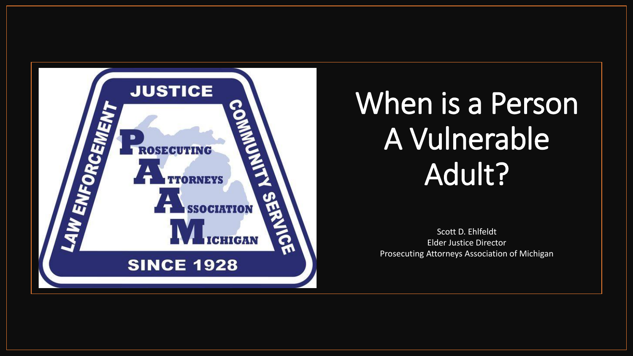

# When is a Person A Vulnerable Adult?

Scott D. Ehlfeldt Elder Justice Director Prosecuting Attorneys Association of Michigan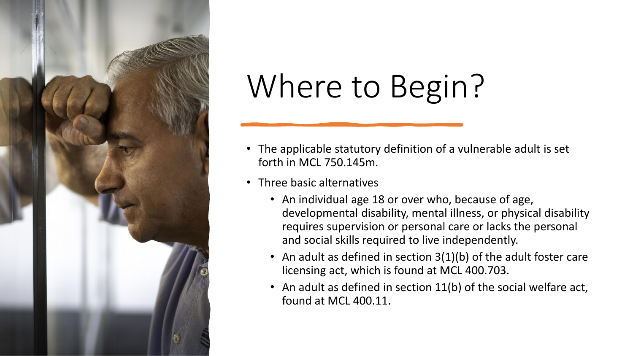

# Where to Begin?

- The applicable statutory definition of a vulnerable adult is set forth in MCL 750.145m.
- Three basic alternatives
	- An individual age 18 or over who, because of age, developmental disability, mental illness, or physical disability requires supervision or personal care or lacks the personal and social skills required to live independently.
	- An adult as defined in section 3(1)(b) of the adult foster care licensing act, which is found at MCL 400.703.
	- An adult as defined in section 11(b) of the social welfare act, found at MCL 400.11.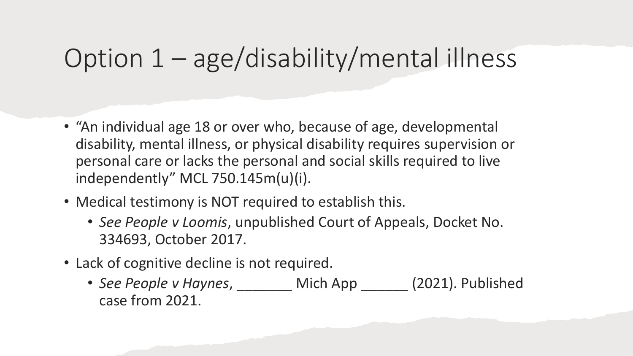## Option 1 – age/disability/mental illness

- "An individual age 18 or over who, because of age, developmental disability, mental illness, or physical disability requires supervision or personal care or lacks the personal and social skills required to live independently" MCL 750.145m(u)(i).
- Medical testimony is NOT required to establish this.
	- *See People v Loomis*, unpublished Court of Appeals, Docket No. 334693, October 2017.
- Lack of cognitive decline is not required.
	- See People v Haynes, Mich App (2021). Published case from 2021.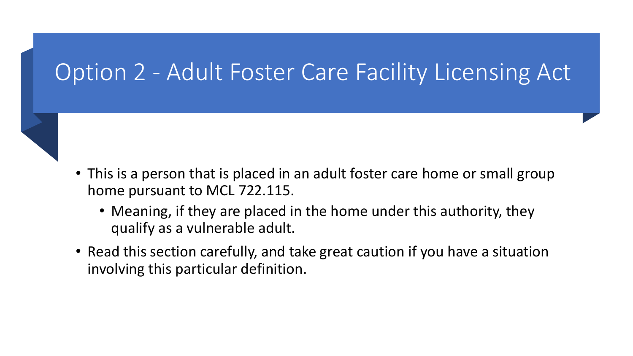#### Option 2 - Adult Foster Care Facility Licensing Act

- This is a person that is placed in an adult foster care home or small group home pursuant to MCL 722.115.
	- Meaning, if they are placed in the home under this authority, they qualify as a vulnerable adult.
- Read this section carefully, and take great caution if you have a situation involving this particular definition.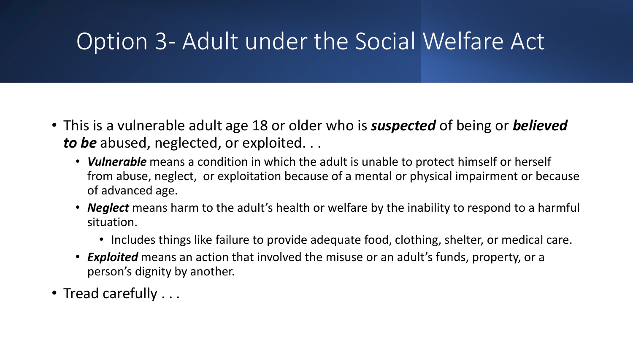#### Option 3- Adult under the Social Welfare Act

- This is a vulnerable adult age 18 or older who is *suspected* of being or *believed to be* abused, neglected, or exploited. . .
	- *Vulnerable* means a condition in which the adult is unable to protect himself or herself from abuse, neglect, or exploitation because of a mental or physical impairment or because of advanced age.
	- *Neglect* means harm to the adult's health or welfare by the inability to respond to a harmful situation.
		- Includes things like failure to provide adequate food, clothing, shelter, or medical care.
	- *Exploited* means an action that involved the misuse or an adult's funds, property, or a person's dignity by another.
- Tread carefully . . .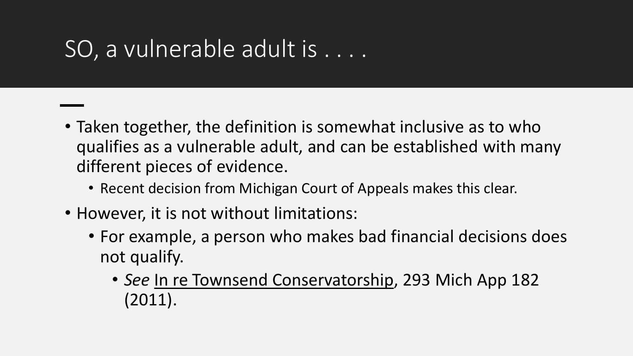### SO, a vulnerable adult is . . . .

- Taken together, the definition is somewhat inclusive as to who qualifies as a vulnerable adult, and can be established with many different pieces of evidence.
	- Recent decision from Michigan Court of Appeals makes this clear.
- However, it is not without limitations:
	- For example, a person who makes bad financial decisions does not qualify.
		- *See* In re Townsend Conservatorship, 293 Mich App 182 (2011).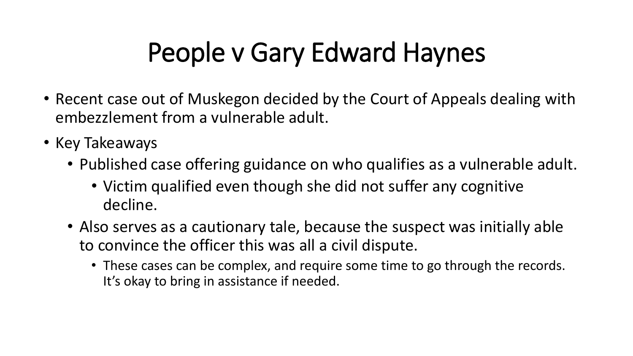# People v Gary Edward Haynes

- Recent case out of Muskegon decided by the Court of Appeals dealing with embezzlement from a vulnerable adult.
- Key Takeaways
	- Published case offering guidance on who qualifies as a vulnerable adult.
		- Victim qualified even though she did not suffer any cognitive decline.
	- Also serves as a cautionary tale, because the suspect was initially able to convince the officer this was all a civil dispute.
		- These cases can be complex, and require some time to go through the records. It's okay to bring in assistance if needed.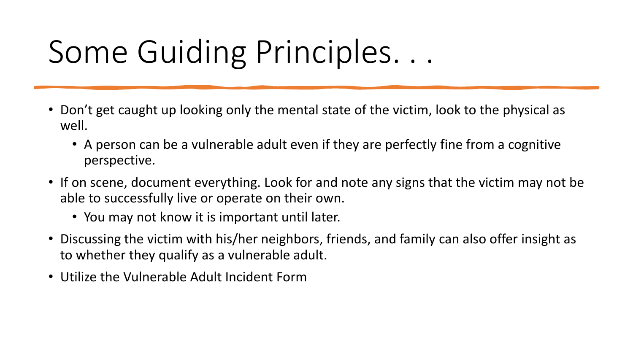# Some Guiding Principles. . .

- Don't get caught up looking only the mental state of the victim, look to the physical as well.
	- A person can be a vulnerable adult even if they are perfectly fine from a cognitive perspective.
- If on scene, document everything. Look for and note any signs that the victim may not be able to successfully live or operate on their own.
	- You may not know it is important until later.
- Discussing the victim with his/her neighbors, friends, and family can also offer insight as to whether they qualify as a vulnerable adult.
- Utilize the Vulnerable Adult Incident Form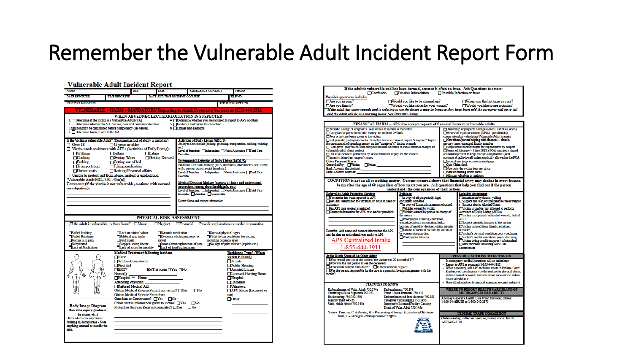#### Remember the Vulnerable Adult Incident Report Form

#### **Vulnerable Adult Incident Report**

| <b>NAME</b>                                                                                                                                                                                                                                                                                                                                                                                                                                                        |                                                                                                                                       | <b>AGE</b>                                                                                                                                                                                                                        |               | <b>DOB</b>                                                                                                                                                                                              |                                               |                                                                                                                                                                                                                                                                     | <b>EMERGENCY CONTACT</b>                         |      | PHONE                                                                                                                                                                                                                                                                                                                                                                                                                        |
|--------------------------------------------------------------------------------------------------------------------------------------------------------------------------------------------------------------------------------------------------------------------------------------------------------------------------------------------------------------------------------------------------------------------------------------------------------------------|---------------------------------------------------------------------------------------------------------------------------------------|-----------------------------------------------------------------------------------------------------------------------------------------------------------------------------------------------------------------------------------|---------------|---------------------------------------------------------------------------------------------------------------------------------------------------------------------------------------------------------|-----------------------------------------------|---------------------------------------------------------------------------------------------------------------------------------------------------------------------------------------------------------------------------------------------------------------------|--------------------------------------------------|------|------------------------------------------------------------------------------------------------------------------------------------------------------------------------------------------------------------------------------------------------------------------------------------------------------------------------------------------------------------------------------------------------------------------------------|
| <b>DATE REPORTED</b>                                                                                                                                                                                                                                                                                                                                                                                                                                               | <b>TIME REPORTED</b>                                                                                                                  |                                                                                                                                                                                                                                   |               | DATE AND TIME INCIDENT OCCURED                                                                                                                                                                          |                                               |                                                                                                                                                                                                                                                                     |                                                  |      | FILE NO:                                                                                                                                                                                                                                                                                                                                                                                                                     |
| <b>INCIDENT LOCATION</b>                                                                                                                                                                                                                                                                                                                                                                                                                                           |                                                                                                                                       |                                                                                                                                                                                                                                   |               |                                                                                                                                                                                                         |                                               |                                                                                                                                                                                                                                                                     |                                                  |      | <b>REPORTING OFFICER</b>                                                                                                                                                                                                                                                                                                                                                                                                     |
| <b>VULNERABLE + HARM = MANDATORY Reporting to Adult Protective Services at (855) 444-3911</b><br>1. TDetermine if the victim is a Vulnerable Adult (VA)<br>2. Determine whether the VA can see, hear and communicate ideas.<br>Cognition may be diminished before competency (see below).<br>3. Determine harm, if any to the VA                                                                                                                                   |                                                                                                                                       |                                                                                                                                                                                                                                   |               | WHEN ABUSE/NEGLECT/EXPLOITATION IS SUSPECTED                                                                                                                                                            |                                               | 5. Evidence and forms for collection<br>6. Crimes and elements                                                                                                                                                                                                      |                                                  |      | 4. Determine whether you are required to report to APS or others                                                                                                                                                                                                                                                                                                                                                             |
| Is the Victim a vulnerable Adult? (Documenting lack of ability is important)<br>$\Box$ Over 18<br>Victim needs assistance with ADLs (Activities of Daily Living):<br>$\Box$ Walking<br>$\Box$ Cooking<br>$\Box$ Bathing<br>$\Box$ Transportation<br>$\Box$ Doctor visits<br>Unable to protect self from abuse, neglect or exploitation<br>(Vulnerable Adult MCL 750.145m(u))<br>Comments (if the victim is not vulnerable, continue with normal<br>investigation): | $\Box$ 65 years or older<br>$\Box$ Sitting<br>Getting Water<br>□Getting out of bed<br>□Taking medication<br>Banking/Financial affairs |                                                                                                                                                                                                                                   | $\Box$ Eating | □Getting Dressed                                                                                                                                                                                        | etc.)<br><b>Describe:</b><br><b>Describe:</b> | <b>Activities of Daily Living (ADL'S)</b><br>Instrumental Activities of Daily Living (IADL'S)<br>wills, protect assets, resist fraud etc.)<br>appreciate, reason about health info, etc.)<br>Describe: Guardian Conservator<br>Doctor Name and contact information: |                                                  |      | Ability to Care for Self (bathing, grooming, transportation, walking, toileting<br>Level of Function:   Independent   Needs Assistance   Total Care<br>Financial Decision-Making (bills, donations, investments, real estate,<br>Level of Function:   Independent   Needs Assistance   Total Care<br>Medical Decision-Making (express a choice and understand,<br>Level of Function: Independent Needs Assistance Total Care |
| $\Box$ If the adult is vulnerable, is there harm? $\Box$ Abuse<br>□Soiled bedding<br>Soiled Bandages<br>Victim is in pain<br>Dehydrated<br><b>TLack of Medication</b>                                                                                                                                                                                                                                                                                              | <b>TFoul Smell</b>                                                                                                                    | <b>Lock on victim's door</b><br>Bilateral grip marks<br>Stopped seeing doctor<br>Lack of access to mobility                                                                                                                       |               | PHYSICAL RISK ASSESSMENT<br><b>Narcotic medication</b><br>Evidence of cleaning prior to<br>arrival<br>□Inconsistent explanation of care<br>Lack of food/malnutrition                                    |                                               |                                                                                                                                                                                                                                                                     | Unusual physical signs<br>including common areas |      | $\Box$ Neglect $\Box$ Financial Provide explanation as needed in narrative<br>Filthy living conditions for victim,<br>$\Box$ No sign of pain reliever (aspirin etc.)                                                                                                                                                                                                                                                         |
| <b>Body Image Diagram</b><br>Describe injury (redness,<br>bruising etc.)<br>Older adults can experience<br>bruising in dotted areas - Note<br>anything unusual or outside the<br>area.                                                                                                                                                                                                                                                                             | $\Box$ None<br><b>First Aid</b><br>$\Box$ EMT*<br>Name(s):                                                                            | <b>Medical Treatment following incident</b><br><b>Will seek own doctor</b><br>Hospital ** Name:<br><b>Attending Physician:</b><br>Refused Medical Aid<br><b>Obtain Medical Release Form from</b><br>Guardian or Conservator? TYes |               | EMT at scene $\Box$ Yes $\Box$ No<br>Obtain Medical Release Form from victim? TYes<br>$\Box$ No<br>Crime victim information given to victim? TYes<br>Protective Services Referral completed? □ Yes □ No |                                               | $\Box$ No<br>$\Box$ No                                                                                                                                                                                                                                              |                                                  | not) | <b>Residence Type? (When</b><br>victim is found)<br>Private<br><b>Public Housing</b><br><b>Assisted Living</b><br>Licensed Nursing Home<br>Hospital<br><b>Homeless</b><br>Unknown<br>AFC Home (Licensed or<br>Other:                                                                                                                                                                                                         |

| If the adult is vulnerable and has been harmed, consent is often an issue.  Ask Questions to assess:                                                              |                                                                                                                |                                                               |                                                                                                                             |  |  |  |  |  |  |  |
|-------------------------------------------------------------------------------------------------------------------------------------------------------------------|----------------------------------------------------------------------------------------------------------------|---------------------------------------------------------------|-----------------------------------------------------------------------------------------------------------------------------|--|--|--|--|--|--|--|
| Confusion<br>$\Box$ Possible Intimidation<br>Possible Infection or fever<br><b>Possible questions include:</b>                                                    |                                                                                                                |                                                               |                                                                                                                             |  |  |  |  |  |  |  |
| Are you in pain?                                                                                                                                                  | Would you like to be cleaned up?                                                                               |                                                               | $\Box$ When was the last time you ate?                                                                                      |  |  |  |  |  |  |  |
| Are you thirsty?                                                                                                                                                  | □Would you like salve for your wound?                                                                          | $\Box$ Would you like to see a doctor?                        |                                                                                                                             |  |  |  |  |  |  |  |
| "If the adult has open wounds and is refusing to see the doctor it may be because they have been told the caregiver will go to jail                               |                                                                                                                |                                                               |                                                                                                                             |  |  |  |  |  |  |  |
| and the adult will be in a nursing home. See Parasitic Living                                                                                                     |                                                                                                                |                                                               |                                                                                                                             |  |  |  |  |  |  |  |
| FINANCIAL HARM -- APS also accepts reports of financial harm to vulnerable adults                                                                                 |                                                                                                                |                                                               |                                                                                                                             |  |  |  |  |  |  |  |
| Parasitic Living: "Caregiver's" sole source of income is the victim                                                                                               |                                                                                                                |                                                               | Ownership of property damages (deeds, car titles, accts)                                                                    |  |  |  |  |  |  |  |
| Caregiver/suspect controls the money, no audit/no 2 <sup>nd</sup> look                                                                                            | Misuse of legal documents (DPOA, guardianship,                                                                 |                                                               |                                                                                                                             |  |  |  |  |  |  |  |
| Poor or no care being given to the victim                                                                                                                         | conservatorship - depleting Vulnerable Adult's assets                                                          |                                                               |                                                                                                                             |  |  |  |  |  |  |  |
| Not providing adequate care to the victim because it would require "caregiver" to pay<br>for care instead of spending money on the "caregiver's" desires or needs | New friend/person helping with finances - church,<br>grocery store, estranged family member                    |                                                               |                                                                                                                             |  |  |  |  |  |  |  |
| "Caregiver" may fail to seek adequate medical attention to avoid criminal charges of                                                                              |                                                                                                                | Requested records/receipts for expenditures by suspect        |                                                                                                                             |  |  |  |  |  |  |  |
| vulnerable adult abuse neglect<br>List of all services performed by suspect/amount of pay for the services                                                        | Power of Attorney - Since 2012 a POA requires a signed<br>acknowledgement to keep receipts and prohibits joint |                                                               |                                                                                                                             |  |  |  |  |  |  |  |
| <b>Tincome claimed on suspect's taxes</b>                                                                                                                         |                                                                                                                | accounts & gifts-to-self unless explicitly allowed in the POA |                                                                                                                             |  |  |  |  |  |  |  |
| <b>Other Financial Harm</b>                                                                                                                                       | Second mortgage or reverse mortgage                                                                            |                                                               |                                                                                                                             |  |  |  |  |  |  |  |
| Controlled by Victim Other:<br><b>Bank Account (Institution):</b>                                                                                                 | Quit Claim deed<br><b>TNew auto the victim does not drive</b>                                                  |                                                               |                                                                                                                             |  |  |  |  |  |  |  |
| <b>Bank Account Number:</b>                                                                                                                                       |                                                                                                                | New or missing credit cards                                   |                                                                                                                             |  |  |  |  |  |  |  |
|                                                                                                                                                                   |                                                                                                                |                                                               | Missing valuables or antiques                                                                                               |  |  |  |  |  |  |  |
| COGNITION is not an all or nothing matter. Current research shows that financial savvy may decline in every human                                                 |                                                                                                                |                                                               |                                                                                                                             |  |  |  |  |  |  |  |
| brain after the age of 60 regardless of how smart you are. Ask questions that help you find out if the person<br>understands the consequences of their actions.   |                                                                                                                |                                                               |                                                                                                                             |  |  |  |  |  |  |  |
| <b>Referral to Adult Protective Services</b>                                                                                                                      | <b>Evidence:</b>                                                                                               |                                                               | <b>Lethality Assessment</b>                                                                                                 |  |  |  |  |  |  |  |
| The matter has been reported to APS                                                                                                                               | A copy of all purportedly legal                                                                                |                                                               | Intimidation by threats, velling                                                                                            |  |  |  |  |  |  |  |
| APS has determined the victim is an adult in need of<br>assistance                                                                                                | documents obtained<br>A copy of financial statements obtained                                                  |                                                               | Suspect has used or threatened to use a weapon<br>Suspect abuses Alcohol/Drugs                                              |  |  |  |  |  |  |  |
| An APS case worker is assigned                                                                                                                                    | Vehicles owned by victim                                                                                       | Victim is unable / not allowed to perform                     |                                                                                                                             |  |  |  |  |  |  |  |
| Contact information for APS case worker provided:                                                                                                                 | Vehicles owned by person in charge of                                                                          | <b>Activities of Daily Living (ADLs)</b>                      |                                                                                                                             |  |  |  |  |  |  |  |
|                                                                                                                                                                   | the money<br>Photographs of living conditions,                                                                 |                                                               | Victim has opened / untreated wounds, lack of<br><b>ADLs</b>                                                                |  |  |  |  |  |  |  |
|                                                                                                                                                                   | wounds, evidence destruction, locks,                                                                           |                                                               | Suspect controls finances of the victim                                                                                     |  |  |  |  |  |  |  |
|                                                                                                                                                                   | location of mobility devices, victim injuries<br>Release of medical records by victim or                       |                                                               | Victim isolated from friends, relatives.<br><b>activities</b>                                                               |  |  |  |  |  |  |  |
| Describe: Add name and contact information for APS<br>and the date an oral referral was made to APS.                                                              | by conservator/guardian                                                                                        |                                                               | Victim's physical condition poor / declining                                                                                |  |  |  |  |  |  |  |
|                                                                                                                                                                   | Photographs taken by:                                                                                          | Victim's mental conditions poor / declining                   |                                                                                                                             |  |  |  |  |  |  |  |
| APS Centralized Intake                                                                                                                                            |                                                                                                                |                                                               | Victim living conditions poor / substandard<br>Prior incidents involving APS/Law                                            |  |  |  |  |  |  |  |
| 1-855-444-3911                                                                                                                                                    |                                                                                                                | <b>Enforcement</b>                                            |                                                                                                                             |  |  |  |  |  |  |  |
| At the Death Scene of An Older Adult                                                                                                                              |                                                                                                                |                                                               | POSSIBLE ACTIONS TO BE TAKEN                                                                                                |  |  |  |  |  |  |  |
| What would you see at the scene if the victim was 20 instead of 87?                                                                                               |                                                                                                                |                                                               | - In emergency medical situations call an ambulance                                                                         |  |  |  |  |  |  |  |
| Who was the last person to see the deceased?                                                                                                                      | - Report to APS as required (1-855-444-3911)                                                                   |                                                               |                                                                                                                             |  |  |  |  |  |  |  |
| $\Box$ Who would benefit from death? $\Box$ Is there obvious neglect?<br>Was the person responsible for the care in a parasitic living arrangement with the       |                                                                                                                |                                                               | - When necessary, ask APS to freeze assets in Probate Court<br>- Evidence of spending may be the motive for physical abuse, |  |  |  |  |  |  |  |
| victim?                                                                                                                                                           | obtain consent or search warrants when necessary to obtain                                                     |                                                               |                                                                                                                             |  |  |  |  |  |  |  |
|                                                                                                                                                                   | financial evidence                                                                                             |                                                               |                                                                                                                             |  |  |  |  |  |  |  |
| <b>STATUTES TO KNOW</b>                                                                                                                                           | - Give all information to medical examiner (request autopsy)                                                   |                                                               |                                                                                                                             |  |  |  |  |  |  |  |
| Embezzlement of Vuln. Adult 750.174a<br>Embezzlement 750.174<br>Obtaining a False Signature 750.273<br>Fraud / False Pretenses 750 218                            | WHERE TO REPORT HEALTH CARE FRAUD OF<br><b>MICHIGAN'S OLDER ADULTS</b>                                         |                                                               |                                                                                                                             |  |  |  |  |  |  |  |
| Racketeering 750.750.159i<br><b>Embezzlement of Joint Account 750.181</b>                                                                                         | Attorney General's Health Care Fraud Division Hotline:                                                         |                                                               |                                                                                                                             |  |  |  |  |  |  |  |
| <b>Identity Theft 445.65</b><br>Careziver Commingling 750.145p<br>Vuln, Adult Abuse 750.145n                                                                      |                                                                                                                | 1-800-24-ABUSE or 1-800-242-2873                              |                                                                                                                             |  |  |  |  |  |  |  |
| <b>Improperly Licensed Facility Causing</b><br>Death of Vuln. Adult 750.145o                                                                                      |                                                                                                                |                                                               |                                                                                                                             |  |  |  |  |  |  |  |
| Source: Emerson, C. & Painter, R. - Prosecuting Attorneys Association of Michigan                                                                                 | FEDERAL TRADE COMMISSION                                                                                       |                                                               |                                                                                                                             |  |  |  |  |  |  |  |
| Teter, S. - Michigan Attorney General's Office                                                                                                                    |                                                                                                                | (Telemarketing, collection agencies, money scams, fraud)      |                                                                                                                             |  |  |  |  |  |  |  |
|                                                                                                                                                                   | 1-877-087-3728                                                                                                 |                                                               |                                                                                                                             |  |  |  |  |  |  |  |
|                                                                                                                                                                   |                                                                                                                |                                                               |                                                                                                                             |  |  |  |  |  |  |  |
|                                                                                                                                                                   |                                                                                                                |                                                               |                                                                                                                             |  |  |  |  |  |  |  |
|                                                                                                                                                                   |                                                                                                                |                                                               |                                                                                                                             |  |  |  |  |  |  |  |
|                                                                                                                                                                   |                                                                                                                |                                                               |                                                                                                                             |  |  |  |  |  |  |  |
|                                                                                                                                                                   |                                                                                                                |                                                               |                                                                                                                             |  |  |  |  |  |  |  |

If the adult is vulnerable and has been harmed, consent is often an issue. Ask Questions to assess: